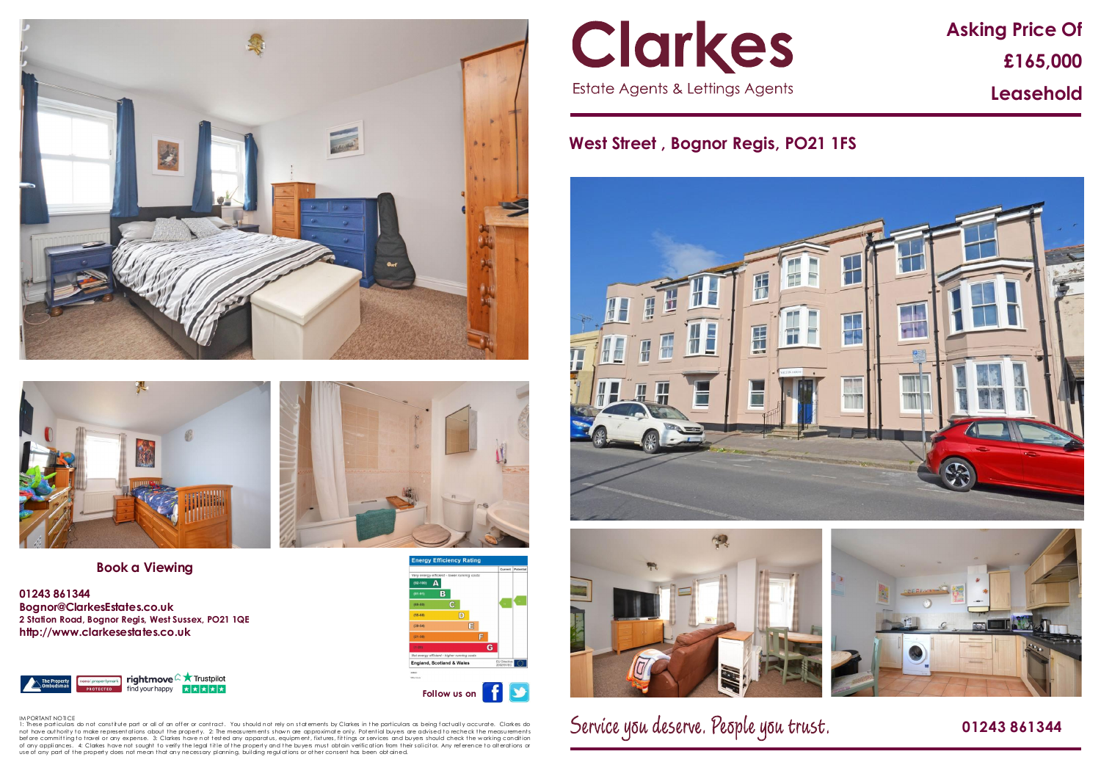# **Asking Price Of £165,000 Leasehold**

## **West Street , Bognor Regis, PO21 1FS**





Service you deserve. People you trust.

 **01243 861344** 





## **Book a Viewing**

**01243 861344 Bognor@ClarkesEstates.co.uk 2 Station Road, Bognor Regis, West Sussex, PO21 1QE http://www.clarkesestates.co.uk**





IM PORTANT NOTICE<br>1: These particulars do not constitute part or all of an offer or contract. You should not rely on statements by Clarkes in the particulars as being factually accurate. Clarkes do not have authority to make representations about the property. 2: The measurements shown are approximate only. Potential buyers are advised to recheck the measurements before committingto travel or any expense. 3: Clarkes have not tested any apparatus, equipment, fixtures, fittings or services and buyers should check the working condition<br>of any appliances. 4: Clarkes have not sought to use of any part of the property does not mean that any necessary planning, building regulations or other consent has been obt ained.